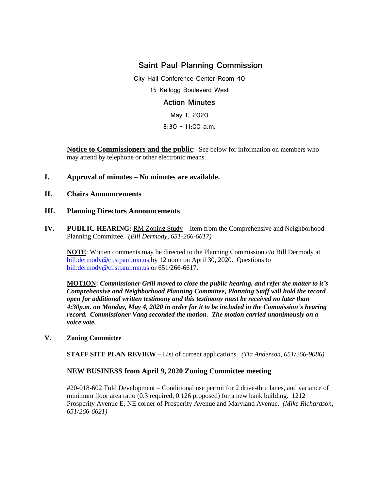# **Saint Paul Planning Commission**

City Hall Conference Center Room 40 15 Kellogg Boulevard West **Action Minutes** May 1, 2020 8:30 - 11:00 a.m.

**Notice to Commissioners and the public**: See below for information on members who may attend by telephone or other electronic means.

## **I. Approval of minutes – No minutes are available.**

### **II. Chairs Announcements**

## **III. Planning Directors Announcements**

**IV. PUBLIC HEARING:** RM Zoning Study – Item from the Comprehensive and Neighborhood Planning Committee. *(Bill Dermody, 651-266-6617)*

**NOTE**: Written comments may be directed to the Planning Commission c/o Bill Dermody at [bill.dermody@ci.stpaul.mn.us](mailto:bill.dermody@ci.stpaul.mn.us) by 12 noon on April 30, 2020. Questions to [bill.dermody@ci.stpaul.mn.us](mailto:bill.dermody@ci.stpaul.mn.us) or 651/266-6617.

**MOTION:** *Commissioner Grill moved to close the public hearing, and refer the matter to it's Comprehensive and Neighborhood Planning Committee, Planning Staff will hold the record open for additional written testimony and this testimony must be received no later than 4:30p.m. on Monday, May 4, 2020 in order for it to be included in the Commission's hearing record. Commissioner Vang seconded the motion. The motion carried unanimously on a voice vote.* 

#### **V. Zoning Committee**

**STAFF SITE PLAN REVIEW –** List of current applications. *(Tia Anderson, 651/266-9086)*

## **NEW BUSINESS from April 9, 2020 Zoning Committee meeting**

#20-018-602 Told Development – Conditional use permit for 2 drive-thru lanes, and variance of minimum floor area ratio (0.3 required, 0.126 proposed) for a new bank building. 1212 Prosperity Avenue E, NE corner of Prosperity Avenue and Maryland Avenue. *(Mike Richardson, 651/266-6621)*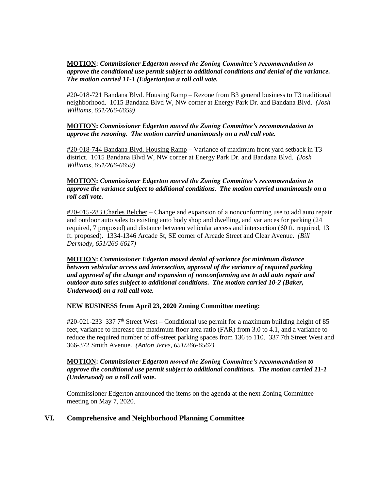#### **MOTION:** *Commissioner Edgerton moved the Zoning Committee's recommendation to approve the conditional use permit subject to additional conditions and denial of the variance. The motion carried 11-1 (Edgerton)on a roll call vote.*

#20-018-721 Bandana Blvd. Housing Ramp – Rezone from B3 general business to T3 traditional neighborhood. 1015 Bandana Blvd W, NW corner at Energy Park Dr. and Bandana Blvd. *(Josh Williams, 651/266-6659)* 

#### **MOTION:** *Commissioner Edgerton moved the Zoning Committee's recommendation to approve the rezoning. The motion carried unanimously on a roll call vote.*

#20-018-744 Bandana Blvd. Housing Ramp – Variance of maximum front yard setback in T3 district. 1015 Bandana Blvd W, NW corner at Energy Park Dr. and Bandana Blvd. *(Josh Williams, 651/266-6659)*

#### **MOTION:** *Commissioner Edgerton moved the Zoning Committee's recommendation to approve the variance subject to additional conditions. The motion carried unanimously on a roll call vote.*

#20-015-283 Charles Belcher – Change and expansion of a nonconforming use to add auto repair and outdoor auto sales to existing auto body shop and dwelling, and variances for parking (24 required, 7 proposed) and distance between vehicular access and intersection (60 ft. required, 13 ft. proposed). 1334-1346 Arcade St, SE corner of Arcade Street and Clear Avenue. *(Bill Dermody, 651/266-6617)* 

**MOTION:** *Commissioner Edgerton moved denial of variance for minimum distance between vehicular access and intersection, approval of the variance of required parking and approval of the change and expansion of nonconforming use to add auto repair and outdoor auto sales subject to additional conditions. The motion carried 10-2 (Baker, Underwood) on a roll call vote.* 

#### **NEW BUSINESS from April 23, 2020 Zoning Committee meeting:**

#20-021-233 337 7<sup>th</sup> Street West – Conditional use permit for a maximum building height of 85 feet, variance to increase the maximum floor area ratio (FAR) from 3.0 to 4.1, and a variance to reduce the required number of off-street parking spaces from 136 to 110. 337 7th Street West and 366-372 Smith Avenue. *(Anton Jerve, 651/266-6567)* 

#### **MOTION:** *Commissioner Edgerton moved the Zoning Committee's recommendation to approve the conditional use permit subject to additional conditions. The motion carried 11-1 (Underwood) on a roll call vote.*

Commissioner Edgerton announced the items on the agenda at the next Zoning Committee meeting on May 7, 2020.

## **VI. Comprehensive and Neighborhood Planning Committee**